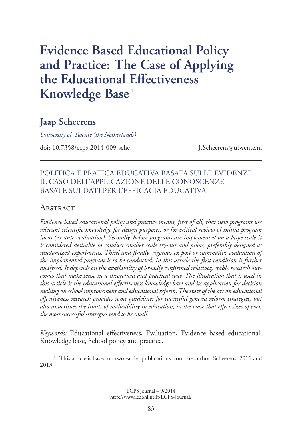# **Evidence Based Educational Policy [and Practice: The Case of Applying](http://www.ledonline.it/ECPS-Journal/) the Educational Effectiveness Knowledge Base** <sup>1</sup>

# **Jaap Scheerens**

*University of Twente (the Netherlands)*

doi: 10.7358/ecps-2014-009-sche J.Scheerens@utwente.nl

### politica e pratica educativa basata sulle evidenze: il caso dell'applicazione delle conoscenze basate sui dati per l'efficacia educativa

### **ABSTRACT**

*Evidence based educational policy and practice means, first of all, that new programs use relevant scientific knowledge for design purposes, or for critical review of initial program ideas (ex ante evaluation). Secondly, before programs are implemented on a large scale it is considered desirable to conduct smaller scale try-out and pilots, preferably designed as randomized experiments. Third and finally, rigorous ex post or summative evaluation of the implemented program is to be conducted. In this article the first condition is further analysed. It depends on the availability of broadly confirmed relatively stable research outcomes that make sense in a theoretical and practical way. The illustration that is used in this article is the educational effectiveness knowledge base and its application for decision making on school improvement and educational reform. The state of the art on educational effectiveness research provides some guidelines for successful general reform strategies, but also underlines the limits of malleability in education, in the sense that effect sizes of even the most successful strategies tend to be small.* 

*Keywords:* Educational effectiveness, Evaluation, Evidence based educational, Knowledge base, School policy and practice.

<sup>&</sup>lt;sup>1</sup> This article is based on two earlier publications from the author: Scheerens, 2011 and 2013.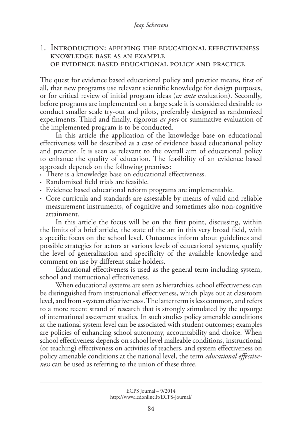1. Introduction: applying the educational effectiveness knowledge base as an example of evidence based educational policy and practice

The quest for evidence based educational policy and practice means, first of all, that new programs use relevant scientific knowledge for design purposes, or for critical review of initial program ideas (*ex ante* evaluation). Secondly, before programs are implemented on a large scale it is considered desirable to conduct smaller scale try-out and pilots, preferably designed as randomized experiments. Third and finally, rigorous *ex post* or summative evaluation of the implemented program is to be conducted.

In this article the application of the knowledge base on educational effectiveness will be described as a case of evidence based educational policy and practice. It is seen as relevant to the overall aim of educational policy to enhance the quality of education. The feasibility of an evidence based approach depends on the following premises:

- There is a knowledge base on educational effectiveness.
- Randomized field trials are feasible.
- Evidence based educational reform programs are implementable.
- Core curricula and standards are assessable by means of valid and reliable measurement instruments, of cognitive and sometimes also non-cognitive attainment.

In this article the focus will be on the first point, discussing, within the limits of a brief article, the state of the art in this very broad field, with a specific focus on the school level. Outcomes inform about guidelines and possible strategies for actors at various levels of educational systems, qualify the level of generalization and specificity of the available knowledge and comment on use by different stake holders.

Educational effectiveness is used as the general term including system, school and instructional effectiveness.

When educational systems are seen as hierarchies, school effectiveness can be distinguished from instructional effectiveness, which plays out at classroom level, and from «system effectiveness». The latter term is less common, and refers to a more recent strand of research that is strongly stimulated by the upsurge of international assessment studies. In such studies policy amenable conditions at the national system level can be associated with student outcomes; examples are policies of enhancing school autonomy, accountability and choice. When school effectiveness depends on school level malleable conditions, instructional (or teaching) effectiveness on activities of teachers, and system effectiveness on policy amenable conditions at the national level, the term *educational effectiveness* can be used as referring to the union of these three.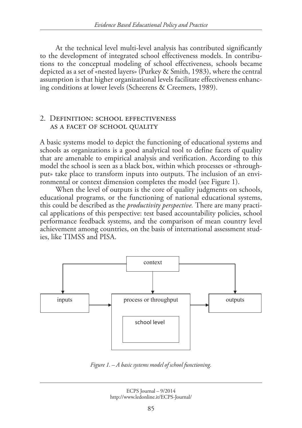At the technical level multi-level analysis has contributed significantly to the development of integrated school effectiveness models. In contributions to the conceptual modeling of school effectiveness, schools became depicted as a set of «nested layers» (Purkey & Smith, 1983), where the central assumption is that higher organizational levels facilitate effectiveness enhancing conditions at lower levels (Scheerens & Creemers, 1989).

### 2. Definition: school effectiveness as a facet of school quality

A basic systems model to depict the functioning of educational systems and schools as organizations is a good analytical tool to define facets of quality that are amenable to empirical analysis and verification. According to this model the school is seen as a black box, within which processes or «throughput» take place to transform inputs into outputs. The inclusion of an environmental or context dimension completes the model (see Figure 1).

When the level of outputs is the core of quality judgments on schools, educational programs, or the functioning of national educational systems, this could be described as the *productivity perspective.* There are many practical applications of this perspective: test based accountability policies, school performance feedback systems, and the comparison of mean country level achievement among countries, on the basis of international assessment studies, like TIMSS and PISA.



*Figure 1. – A basic systems model of school functioning.*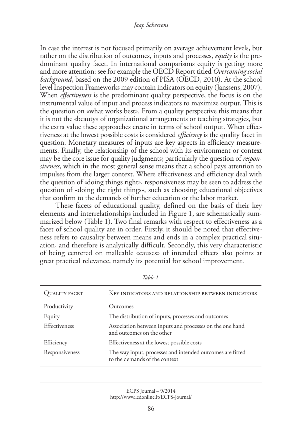In case the interest is not focused primarily on average achievement levels, but rather on the distribution of outcomes, inputs and processes, *equity* is the predominant quality facet. In international comparisons equity is getting more and more attention: see for example the OECD Report titled *Overcoming social background*, based on the 2009 edition of PISA (OECD, 2010). At the school level Inspection Frameworks may contain indicators on equity (Janssens, 2007). When *effectiveness* is the predominant quality perspective, the focus is on the instrumental value of input and process indicators to maximize output. This is the question on «what works best». From a quality perspective this means that it is not the «beauty» of organizational arrangements or teaching strategies, but the extra value these approaches create in terms of school output. When effectiveness at the lowest possible costs is considered *efficiency* is the quality facet in question. Monetary measures of inputs are key aspects in efficiency measurements. Finally, the relationship of the school with its environment or context may be the core issue for quality judgments; particularly the question of *responsiveness*, which in the most general sense means that a school pays attention to impulses from the larger context. Where effectiveness and efficiency deal with the question of «doing things right», responsiveness may be seen to address the question of «doing the right things», such as choosing educational objectives that confirm to the demands of further education or the labor market.

These facets of educational quality, defined on the basis of their key elements and interrelationships included in Figure 1, are schematically summarized below (Table 1). Two final remarks with respect to effectiveness as a facet of school quality are in order. Firstly, it should be noted that effectiveness refers to causality between means and ends in a complex practical situation, and therefore is analytically difficult. Secondly, this very characteristic of being centered on malleable «causes» of intended effects also points at great practical relevance, namely its potential for school improvement.

| QUALITY FACET  | KEY INDICATORS AND RELATIONSHIP BETWEEN INDICATORS                                         |
|----------------|--------------------------------------------------------------------------------------------|
| Productivity   | Outcomes                                                                                   |
| Equity         | The distribution of inputs, processes and outcomes                                         |
| Effectiveness  | Association between inputs and processes on the one hand<br>and outcomes on the other      |
| Efficiency     | Effectiveness at the lowest possible costs                                                 |
| Responsiveness | The way input, processes and intended outcomes are fitted<br>to the demands of the context |

*Table 1.*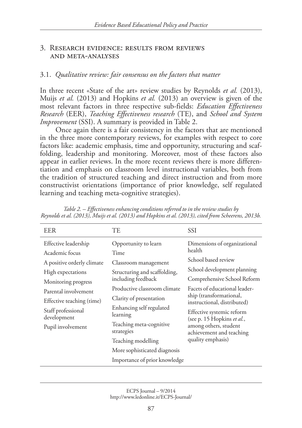#### 3. Research evidence: results from reviews and meta-analyses

### 3.1. *Qualitative review: fair consensus on the factors that matter*

In three recent «State of the art» review studies by Reynolds *et al.* (2013), Muijs *et al.* (2013) and Hopkins *et al.* (2013) an overview is given of the most relevant factors in three respective sub-fields: *Education Effectiveness Research* (EER), *Teaching Effectiveness research* (TE), and *School and System Improvement* (SSI). A summary is provided in Table 2.

Once again there is a fair consistency in the factors that are mentioned in the three more contemporary reviews, for examples with respect to core factors like: academic emphasis, time and opportunity, structuring and scaffolding, leadership and monitoring. Moreover, most of these factors also appear in earlier reviews. In the more recent reviews there is more differentiation and emphasis on classroom level instructional variables, both from the tradition of structured teaching and direct instruction and from more constructivist orientations (importance of prior knowledge, self regulated learning and teaching meta-cognitive strategies).

| <b>EER</b>                                        | TE                                                   | <b>SSI</b>                                                                              |
|---------------------------------------------------|------------------------------------------------------|-----------------------------------------------------------------------------------------|
| Effective leadership<br>Academic focus            | Opportunity to learn<br>Time                         | Dimensions of organizational<br>health                                                  |
| A positive orderly climate<br>High expectations   | Classroom management<br>Structuring and scaffolding, | School based review<br>School development planning                                      |
| Monitoring progress                               | including feedback<br>Productive classroom climate   | Comprehensive School Reform                                                             |
| Parental involvement<br>Effective teaching (time) | Clarity of presentation                              | Facets of educational leader-<br>ship (transformational,<br>instructional, distributed) |
| Staff professional<br>development                 | Enhancing self regulated<br>learning                 | Effective systemic reform<br>(see p. 15 Hopkins et al.,                                 |
| Pupil involvement                                 | Teaching meta-cognitive<br>strategies                | among others, student<br>achievement and teaching                                       |
|                                                   | Teaching modelling                                   | quality emphasis)                                                                       |
|                                                   | More sophisticated diagnosis                         |                                                                                         |
|                                                   | Importance of prior knowledge                        |                                                                                         |

*Table 2. – Effectiveness enhancing conditions referred to in the review studies by Reynolds et al. (2013), Muijs et al. (2013) and Hopkins et al. (2013), cited from Scheerens, 2013b.*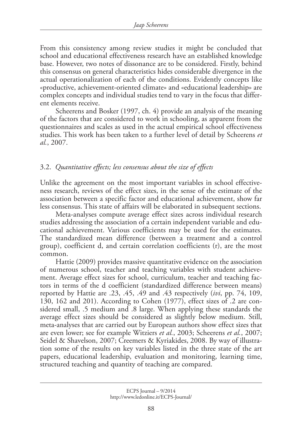From this consistency among review studies it might be concluded that school and educational effectiveness research have an established knowledge base. However, two notes of dissonance are to be considered. Firstly, behind this consensus on general characteristics hides considerable divergence in the actual operationalization of each of the conditions. Evidently concepts like «productive, achievement-oriented climate» and «educational leadership» are complex concepts and individual studies tend to vary in the focus that different elements receive.

Scheerens and Bosker (1997, ch. 4) provide an analysis of the meaning of the factors that are considered to work in schooling, as apparent from the questionnaires and scales as used in the actual empirical school effectiveness studies. This work has been taken to a further level of detail by Scheerens *et al.*, 2007.

## 3.2. *Quantitative effects; less consensus about the size of effects*

Unlike the agreement on the most important variables in school effectiveness research, reviews of the effect sizes, in the sense of the estimate of the association between a specific factor and educational achievement, show far less consensus. This state of affairs will be elaborated in subsequent sections.

Meta-analyses compute average effect sizes across individual research studies addressing the association of a certain independent variable and educational achievement. Various coefficients may be used for the estimates. The standardized mean difference (between a treatment and a control group), coefficient d, and certain correlation coefficients (r), are the most common.

Hattie (2009) provides massive quantitative evidence on the association of numerous school, teacher and teaching variables with student achievement. Average effect sizes for school, curriculum, teacher and teaching factors in terms of the d coefficient (standardized difference between means) reported by Hattie are .23, .45, .49 and .43 respectively (*ivi*, pp. 74, 109, 130, 162 and 201). According to Cohen (1977), effect sizes of .2 are considered small, .5 medium and .8 large. When applying these standards the average effect sizes should be considered as slightly below medium. Still, meta-analyses that are carried out by European authors show effect sizes that are even lower; see for example Witziers *et al.*, 2003; Scheerens *et al.*, 2007; Seidel & Shavelson, 2007; Creemers & Kyriakides, 2008. By way of illustration some of the results on key variables listed in the three state of the art papers, educational leadership, evaluation and monitoring, learning time, structured teaching and quantity of teaching are compared.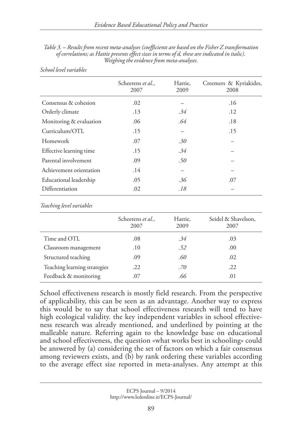|                         | Scheerens et al.,<br>2007 | Hattie,<br>2009 | Creemers & Kyriakides,<br>2008 |
|-------------------------|---------------------------|-----------------|--------------------------------|
| Consensus & cohesion    | .02                       |                 | .16                            |
| Orderly climate         | .13                       | .34             | .12                            |
| Monitoring & evaluation | .06                       | .64             | .18                            |
| Curriculum/OTL          | .15                       |                 | .15                            |
| Homework                | .07                       | .30             |                                |
| Effective learning time | .15                       | .34             |                                |
| Parental involvement    | .09                       | .50             |                                |
| Achievement orientation | .14                       |                 |                                |
| Educational leadership  | .05                       | .36             | .07                            |
| Differentiation         | .02                       | .18             |                                |

*Table 3. – Results from recent meta-analyses (coefficients are based on the Fisher Z transformation of correlations; as Hattie presents effect sizes in terms of d, these are indicated in italic). Weighing the evidence from meta-analyses.*

# *Teaching level variables*

*School level variables*

| $\cdots$                     |                           |                 |                             |
|------------------------------|---------------------------|-----------------|-----------------------------|
|                              | Scheerens et al.,<br>2007 | Hattie,<br>2009 | Seidel & Shavelson,<br>2007 |
| Time and OTL                 | .08                       | .34             | .03                         |
| Classroom management         | .10                       | .52             | .00                         |
| Structured teaching          | .09                       | .60             | .02                         |
| Teaching learning strategies | .22                       | .70             | .22                         |
| Feedback & monitoring        | .07                       | .66             | .01                         |

School effectiveness research is mostly field research. From the perspective of applicability, this can be seen as an advantage. Another way to express this would be to say that school effectiveness research will tend to have high ecological validity. the key independent variables in school effectiveness research was already mentioned, and underlined by pointing at the malleable nature. Referring again to the knowledge base on educational and school effectiveness, the question «what works best in schooling» could be answered by (a) considering the set of factors on which a fair consensus among reviewers exists, and  $(b)$  by rank ordering these variables according to the average effect size reported in meta-analyses. Any attempt at this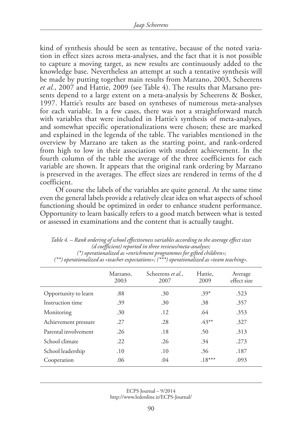kind of synthesis should be seen as tentative, because of the noted variation in effect sizes across meta-analyses, and the fact that it is not possible to capture a moving target, as new results are continuously added to the knowledge base. Nevertheless an attempt at such a tentative synthesis will be made by putting together main results from Marzano, 2003, Scheerens *et al.*, 2007 and Hattie, 2009 (see Table 4). The results that Marsano presents depend to a large extent on a meta-analysis by Scheerens & Bosker, 1997. Hattie's results are based on syntheses of numerous meta-analyses for each variable. In a few cases, there was not a straightforward match with variables that were included in Hattie's synthesis of meta-analyses, and somewhat specific operationalizations were chosen; these are marked and explained in the legenda of the table. The variables mentioned in the overview by Marzano are taken as the starting point, and rank-ordered from high to low in their association with student achievement. In the fourth column of the table the average of the three coefficients for each variable are shown. It appears that the original rank ordering by Marzano is preserved in the averages. The effect sizes are rendered in terms of the d coefficient.

Of course the labels of the variables are quite general. At the same time even the general labels provide a relatively clear idea on what aspects of school functioning should be optimized in order to enhance student performance. Opportunity to learn basically refers to a good match between what is tested or assessed in examinations and the content that is actually taught.

*Table 4. – Rank ordering of school effectiveness variables according to the average effect sizes (d coefficient) reported in three reviews/meta-analyses; (\*) operationalized as «enrichment programmes for gifted children»;*

*(\*\*) operationalized as «teacher expectations»; (\*\*\*) operationalized as «team teaching».*

|                      | Marzano,<br>2003 | Scheerens et al.,<br>2007 | Hattie,<br>2009 | Average<br>effect size |
|----------------------|------------------|---------------------------|-----------------|------------------------|
| Opportunity to learn | .88              | .30                       | $.39*$          | .523                   |
| Instruction time     | .39              | .30                       | .38             | .357                   |
| Monitoring           | .30              | .12                       | .64             | .353                   |
| Achievement pressure | .27              | .28                       | $.43***$        | .327                   |
| Parental involvement | .26              | .18                       | .50             | .313                   |
| School climate       | .22.             | .26                       | .34             | .273                   |
| School leadership    | .10              | .10                       | .36             | .187                   |
| Cooperation          | .06              | .04                       | $.18***$        | .093                   |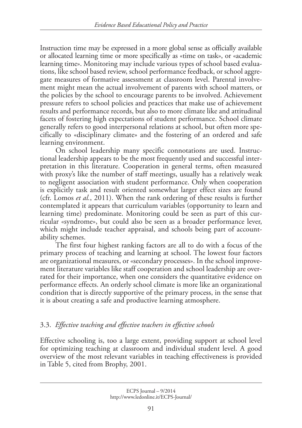Instruction time may be expressed in a more global sense as officially available or allocated learning time or more specifically as «time on task», or «academic learning time». Monitoring may include various types of school based evaluations, like school based review, school performance feedback, or school aggregate measures of formative assessment at classroom level. Parental involvement might mean the actual involvement of parents with school matters, or the policies by the school to encourage parents to be involved. Achievement pressure refers to school policies and practices that make use of achievement results and performance records, but also to more climate like and attitudinal facets of fostering high expectations of student performance. School climate generally refers to good interpersonal relations at school, but often more specifically to «disciplinary climate» and the fostering of an ordered and safe learning environment.

On school leadership many specific connotations are used. Instructional leadership appears to be the most frequently used and successful interpretation in this literature. Cooperation in general terms, often measured with proxy's like the number of staff meetings, usually has a relatively weak to negligent association with student performance. Only when cooperation is explicitly task and result oriented somewhat larger effect sizes are found (cfr. Lomos *et al.*, 2011). When the rank ordering of these results is further contemplated it appears that curriculum variables (opportunity to learn and learning time) predominate. Monitoring could be seen as part of this curricular «syndrome», but could also be seen as a broader performance lever, which might include teacher appraisal, and schools being part of accountability schemes.

The first four highest ranking factors are all to do with a focus of the primary process of teaching and learning at school. The lowest four factors are organizational measures, or «secondary processes». In the school improvement literature variables like staff cooperation and school leadership are overrated for their importance, when one considers the quantitative evidence on performance effects. An orderly school climate is more like an organizational condition that is directly supportive of the primary process, in the sense that it is about creating a safe and productive learning atmosphere.

## 3.3. *Effective teaching and effective teachers in effective schools*

Effective schooling is, too a large extent, providing support at school level for optimizing teaching at classroom and individual student level. A good overview of the most relevant variables in teaching effectiveness is provided in Table 5, cited from Brophy, 2001.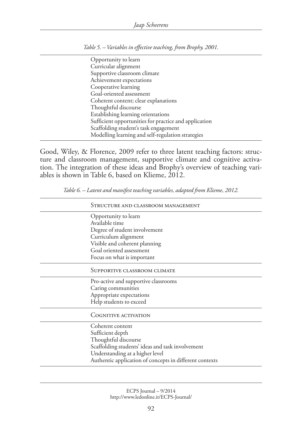| Opportunity to learn                                  |
|-------------------------------------------------------|
| Curricular alignment                                  |
| Supportive classroom climate                          |
| Achievement expectations                              |
| Cooperative learning                                  |
| Goal-oriented assessment                              |
| Coherent content; clear explanations                  |
| Thoughtful discourse                                  |
| Establishing learning orientations                    |
| Sufficient opportunities for practice and application |
| Scaffolding student's task engagement                 |
| Modelling learning and self-regulation strategies     |
|                                                       |

*Table 5. – Variables in effective teaching, from Brophy, 2001.*

Good, Wiley, & Florence, 2009 refer to three latent teaching factors: structure and classroom management, supportive climate and cognitive activation. The integration of these ideas and Brophy's overview of teaching variables is shown in Table 6, based on Klieme, 2012.

| STRUCTURE AND CLASSROOM MANAGEMENT                      |
|---------------------------------------------------------|
| Opportunity to learn                                    |
| Available time                                          |
| Degree of student involvement                           |
| Curriculum alignment                                    |
| Visible and coherent planning                           |
| Goal oriented assessment                                |
| Focus on what is important                              |
| SUPPORTIVE CLASSROOM CLIMATE                            |
| Pro-active and supportive classrooms                    |
| Caring communities                                      |
| Appropriate expectations                                |
| Help students to exceed                                 |
| COGNITIVE ACTIVATION                                    |
| Coherent content                                        |
| Sufficient depth                                        |
| Thoughtful discourse                                    |
| Scaffolding students' ideas and task involvement        |
| Understanding at a higher level                         |
| Authentic application of concepts in different contexts |
|                                                         |

*Table 6. – Latent and manifest teaching variables, adapted from Klieme, 2012.*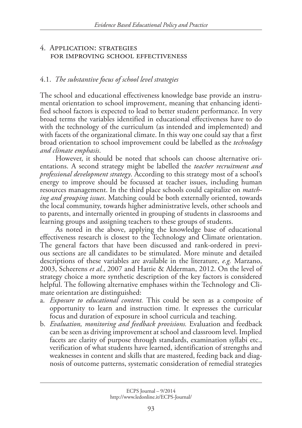### 4. Application: strategies for improving school effectiveness

### 4.1. *The substantive focus of school level strategies*

The school and educational effectiveness knowledge base provide an instrumental orientation to school improvement, meaning that enhancing identified school factors is expected to lead to better student performance. In very broad terms the variables identified in educational effectiveness have to do with the technology of the curriculum (as intended and implemented) and with facets of the organizational climate. In this way one could say that a first broad orientation to school improvement could be labelled as the *technology and climate emphasis*.

However, it should be noted that schools can choose alternative orientations. A second strategy might be labelled the *teacher recruitment and professional development strategy*. According to this strategy most of a school's energy to improve should be focussed at teacher issues, including human resources management. In the third place schools could capitalize on *matching and grouping issues*. Matching could be both externally oriented, towards the local community, towards higher administrative levels, other schools and to parents, and internally oriented in grouping of students in classrooms and learning groups and assigning teachers to these groups of students.

As noted in the above, applying the knowledge base of educational effectiveness research is closest to the Technology and Climate orientation. The general factors that have been discussed and rank-ordered in previous sections are all candidates to be stimulated. More minute and detailed descriptions of these variables are available in the literature, *e.g.* Marzano, 2003, Scheerens *et al.*, 2007 and Hattie & Alderman, 2012. On the level of strategy choice a more synthetic description of the key factors is considered helpful. The following alternative emphases within the Technology and Climate orientation are distinguished:

- a. *Exposure to educational content.* This could be seen as a composite of opportunity to learn and instruction time. It expresses the curricular focus and duration of exposure in school curricula and teaching.
- b. *Evaluation, monitoring and feedback provisions.* Evaluation and feedback can be seen as driving improvement at school and classroom level. Implied facets are clarity of purpose through standards, examination syllabi etc., verification of what students have learned, identification of strengths and weaknesses in content and skills that are mastered, feeding back and diagnosis of outcome patterns, systematic consideration of remedial strategies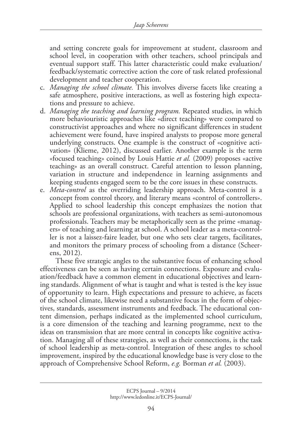and setting concrete goals for improvement at student, classroom and school level, in cooperation with other teachers, school principals and eventual support staff. This latter characteristic could make evaluation/ feedback/systematic corrective action the core of task related professional development and teacher cooperation.

- c. *Managing the school climate.* This involves diverse facets like creating a safe atmosphere, positive interactions, as well as fostering high expectations and pressure to achieve.
- d. *Managing the teaching and learning program.* Repeated studies, in which more behaviouristic approaches like «direct teaching» were compared to constructivist approaches and where no significant differences in student achievement were found, have inspired analysts to propose more general underlying constructs. One example is the construct of «cognitive activation» (Klieme, 2012), discussed earlier. Another example is the term «focused teaching» coined by Louis Hattie *et al.* (2009) proposes «active teaching» as an overall construct. Careful attention to lesson planning, variation in structure and independence in learning assignments and keeping students engaged seem to be the core issues in these constructs.
- e. *Meta-control* as the overriding leadership approach. Meta-control is a concept from control theory, and literary means «control of controllers». Applied to school leadership this concept emphasizes the notion that schools are professional organizations, with teachers as semi-autonomous professionals. Teachers may be metaphorically seen as the prime «managers» of teaching and learning at school. A school leader as a meta-controller is not a laissez-faire leader, but one who sets clear targets, facilitates, and monitors the primary process of schooling from a distance (Scheerens, 2012).

These five strategic angles to the substantive focus of enhancing school effectiveness can be seen as having certain connections. Exposure and evaluation/feedback have a common element in educational objectives and learning standards. Alignment of what is taught and what is tested is the key issue of opportunity to learn. High expectations and pressure to achieve, as facets of the school climate, likewise need a substantive focus in the form of objectives, standards, assessment instruments and feedback. The educational content dimension, perhaps indicated as the implemented school curriculum, is a core dimension of the teaching and learning programme, next to the ideas on transmission that are more central in concepts like cognitive activation. Managing all of these strategies, as well as their connections, is the task of school leadership as meta-control. Integration of these angles to school improvement, inspired by the educational knowledge base is very close to the approach of Comprehensive School Reform, *e.g.* Borman *et al.* (2003).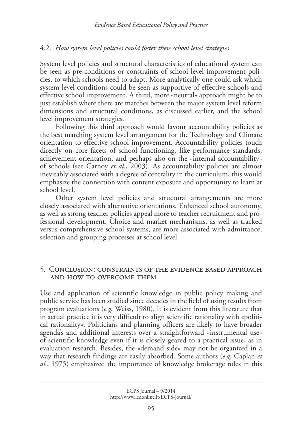## 4.2. *How system level policies could foster these school level strategies*

System level policies and structural characteristics of educational system can be seen as pre-conditions or constraints of school level improvement policies, to which schools need to adapt. More analytically one could ask which system level conditions could be seen as supportive of effective schools and effective school improvement. A third, more «neutral» approach might be to just establish where there are matches between the major system level reform dimensions and structural conditions, as discussed earlier, and the school level improvement strategies.

Following this third approach would favour accountability policies as the best matching system level arrangement for the Technology and Climate orientation to effective school improvement. Accountability policies touch directly on core facets of school functioning, like performance standards, achievement orientation, and perhaps also on the «internal accountability» of schools (see Carnoy *et al.*, 2003). As accountability policies are almost inevitably associated with a degree of centrality in the curriculum, this would emphasize the connection with content exposure and opportunity to learn at school level.

Other system level policies and structural arrangements are more closely associated with alternative orientations. Enhanced school autonomy, as well as strong teacher policies appeal more to teacher recruitment and professional development. Choice and market mechanisms, as well as tracked versus comprehensive school systems, are more associated with admittance, selection and grouping processes at school level.

### 5. Conclusion: constraints of the evidence based approach and how to overcome them

Use and application of scientific knowledge in public policy making and public service has been studied since decades in the field of using results from program evaluations (*e.g.* Weiss, 1980). It is evident from this literature that in actual practice it is very difficult to align scientific rationality with «political rationality». Politicians and planning officers are likely to have broader agenda's and additional interests over a straightforward «instrumental use» of scientific knowledge even if it is closely geared to a practical issue, as in evaluation research. Besides, the «demand side» may not be organized in a way that research findings are easily absorbed. Some authors (*e.g.* Caplan *et al.*, 1975) emphasized the importance of knowledge brokerage roles in this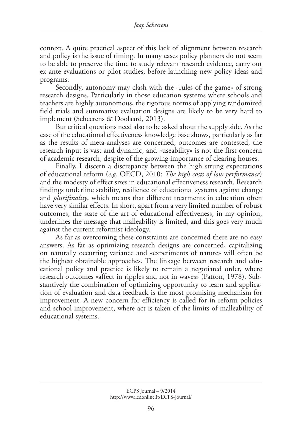context. A quite practical aspect of this lack of alignment between research and policy is the issue of timing. In many cases policy planners do not seem to be able to preserve the time to study relevant research evidence, carry out ex ante evaluations or pilot studies, before launching new policy ideas and programs.

Secondly, autonomy may clash with the «rules of the game» of strong research designs. Particularly in those education systems where schools and teachers are highly autonomous, the rigorous norms of applying randomized field trials and summative evaluation designs are likely to be very hard to implement (Scheerens & Doolaard, 2013).

But critical questions need also to be asked about the supply side. As the case of the educational effectiveness knowledge base shows, particularly as far as the results of meta-analyses are concerned, outcomes are contested, the research input is vast and dynamic, and «useability» is not the first concern of academic research, despite of the growing importance of clearing houses.

Finally, I discern a discrepancy between the high strung expectations of educational reform (*e.g.* OECD, 2010: *The high costs of low performance*) and the modesty of effect sizes in educational effectiveness research. Research findings underline stability, resilience of educational systems against change and *plurifinality*, which means that different treatments in education often have very similar effects. In short, apart from a very limited number of robust outcomes, the state of the art of educational effectiveness, in my opinion, underlines the message that malleability is limited, and this goes very much against the current reformist ideology.

As far as overcoming these constraints are concerned there are no easy answers. As far as optimizing research designs are concerned, capitalizing on naturally occurring variance and «experiments of nature» will often be the highest obtainable approaches. The linkage between research and educational policy and practice is likely to remain a negotiated order, where research outcomes «affect in ripples and not in waves» (Patton, 1978). Substantively the combination of optimizing opportunity to learn and application of evaluation and data feedback is the most promising mechanism for improvement. A new concern for efficiency is called for in reform policies and school improvement, where act is taken of the limits of malleability of educational systems.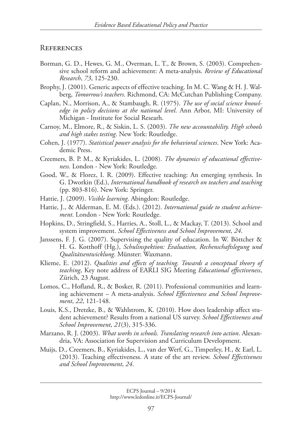#### **REFERENCES**

- Borman, G. D., Hewes, G. M., Overman, L. T., & Brown, S. (2003). Comprehensive school reform and achievement: A meta-analysis. *Review of Educational Research*, *73*, 125-230.
- Brophy, J. (2001). Generic aspects of effective teaching. In M. C. Wang & H. J. Walberg, *Tomorrow's teachers*. Richmond, CA: McCutchan Publishing Company.
- Caplan, N., Morrison, A., & Stambaugh, R. (1975). *The use of social science knowledge in policy decisions at the national level*. Ann Arbor, MI: University of Michigan - Institute for Social Researh.
- Carnoy, M., Elmore, R., & Siskin, L. S. (2003). *The new accountability. High schools and high stakes testing*. New York: Routledge.
- Cohen, J. (1977). *Statistical power analysis for the behavioral sciences*. New York: Academic Press.
- Creemers, B. P. M., & Kyriakides, L. (2008). *The dynamics of educational effectiveness*. London - New York: Routledge.
- Good, W., & Florez, I. R. (2009). Effective teaching: An emerging synthesis. In G. Dworkin (Ed.), *International handbook of research on teachers and teaching*  (pp. 803-816). New York: Springer.
- Hattie, J. (2009). *Visible learning*. Abingdon: Routledge.
- Hattie, J., & Alderman, E. M. (Eds.). (2012). *International guide to student achievement*. London - New York: Routledge.
- Hopkins, D., Stringfield, S., Harries, A., Stoll, L., & Mackay, T. (2013). School and system improvement. *School Effectiveness and School Improvement*, *24*.
- Janssens, F. J. G. (2007). Supervising the quality of education. In W. Böttcher & H. G. Kotthoff (Hg.), *Schulinspektion: Evaluation, Rechenschaftslegung und Qualitätsentwicklung*. Münster: Waxmann.
- Klieme, E. (2012). *Qualities and effects of teaching. Towards a conceptual theory of teaching*, Key note address of EARLI SIG Meeting *Educational effectiveness*, Zürich, 23 August.
- Lomos, C., Hofland, R., & Bosker, R. (2011). Professional communities and learning achievement – A meta-analysis. *School Effectiveness and School Improvement*, *22*, 121-148.
- Louis, K.S., Dretzke, B., & Wahlstrom, K. (2010). How does leadership affect student achievement? Results from a national US survey. *School Effectiveness and School Improvement*, *21*(3), 315-336.
- Marzano, R. J. (2003). *What works in schools. Translating research into action*. Alexandria, VA: Association for Supervision and Curriculum Development.
- Muijs, D., Creemers, B., Kyriakides, L., van der Werf, G., Timperley, H., & Earl, L. (2013). Teaching effectiveness. A state of the art review. *School Effectiveness and School Improvement*, *24*.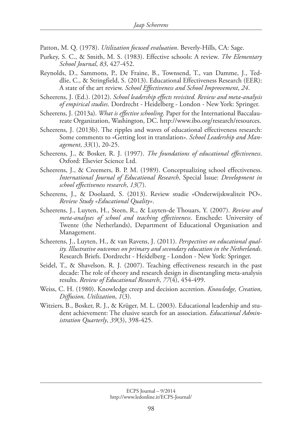Patton, M. Q. (1978). *Utilization focused evaluation*. Beverly-Hills, CA: Sage.

- Purkey, S. C., & Smith, M. S. (1983). Effective schools: A review. *The Elementary School Journal*, *83*, 427-452.
- Reynolds, D., Sammons, P., De Fraine, B., Townsend, T., van Damme, J., Teddlie, C., & Stringfield, S. (2013). Educational Effectiveness Research (EER): A state of the art review. *School Effectiveness and School Improvement*, *24*.
- Scheerens, J. (Ed.). (2012). *School leadership effects revisited. Review and meta-analysis of empirical studies*. Dordrecht - Heidelberg - London - New York: Springer.
- Scheerens, J. (2013a). *What is effective schooling*. Paper for the International Baccalaureate Organization, Washington, DC. http://www.ibo.org/research/resources.
- Scheerens, J. (2013b). The ripples and waves of educational effectiveness research: Some comments to «Getting lost in translation». *School Leadership and Management*, *33*(1), 20-25.
- Scheerens, J., & Bosker, R. J. (1997). *The foundations of educational effectiveness*. Oxford: Elsevier Science Ltd.
- Scheerens, J., & Creemers, B. P. M. (1989). Conceptualizing school effectiveness. *International Journal of Educational Research*, Special Issue: *Development in school effectiveness research*, *13*(7).
- Scheerens, J., & Doolaard, S. (2013). Review studie «Onderwijskwaliteit PO». *Review Study «Educational Quality»*.
- Scheerens, J., Luyten, H., Steen, R., & Luyten-de Thouars, Y. (2007). *Review and meta-analyses of school and teaching effectiveness*. Enschede: University of Twente (the Netherlands), Department of Educational Organisation and Management.
- Scheerens, J., Luyten, H., & van Ravens, J. (2011). *Perspectives on educational quality. Illustrative outcomes on primary and secondary education in the Netherlands*. Research Briefs. Dordrecht - Heidelberg - London - New York: Springer.
- Seidel, T., & Shavelson, R. J. (2007). Teaching effectiveness research in the past decade: The role of theory and research design in disentangling meta-analysis results. *Review of Educational Research*, *77*(4), 454-499.
- Weiss, C. H. (1980). Knowledge creep and decision accretion. *Knowledge, Creation, Diffusion, Utilization*, *1*(3).
- Witziers, B., Bosker, R. J., & Krüger, M. L. (2003). Educational leadership and student achievement: The elusive search for an association. *Educational Administration Quarterly*, *39*(3), 398-425.